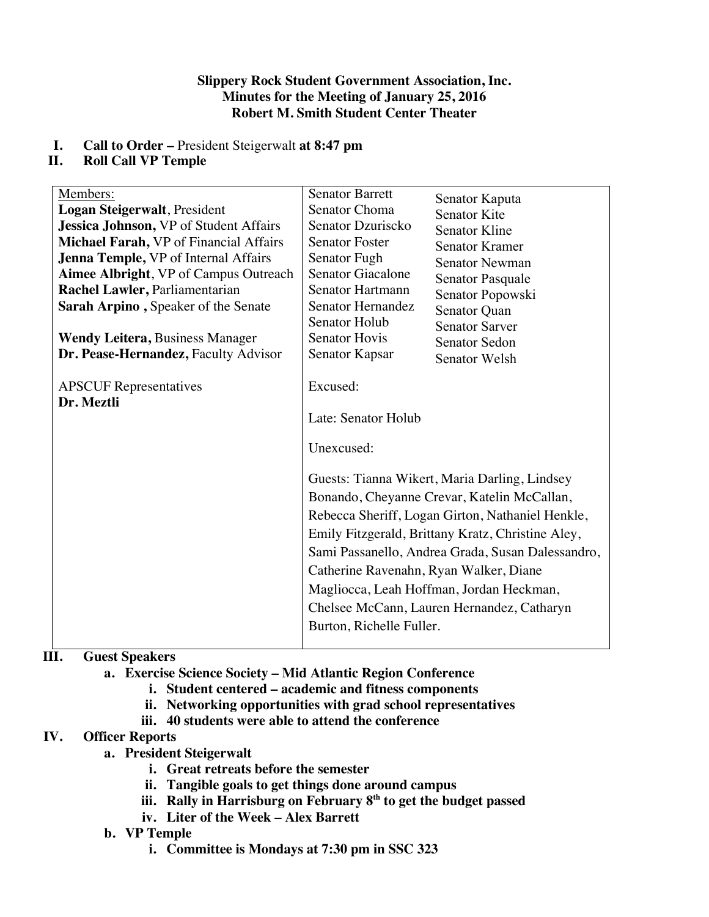#### **Slippery Rock Student Government Association, Inc. Minutes for the Meeting of January 25, 2016 Robert M. Smith Student Center Theater**

## **I. Call to Order –** President Steigerwalt **at 8:47 pm**

## **II. Roll Call VP Temple**

| Members:                                      | <b>Senator Barrett</b>                                                                                                                                                                                                                                                                                                                                                                                                                                                      | Senator Kaputa        |
|-----------------------------------------------|-----------------------------------------------------------------------------------------------------------------------------------------------------------------------------------------------------------------------------------------------------------------------------------------------------------------------------------------------------------------------------------------------------------------------------------------------------------------------------|-----------------------|
| Logan Steigerwalt, President                  | Senator Choma                                                                                                                                                                                                                                                                                                                                                                                                                                                               | <b>Senator Kite</b>   |
| <b>Jessica Johnson, VP of Student Affairs</b> | Senator Dzuriscko                                                                                                                                                                                                                                                                                                                                                                                                                                                           | <b>Senator Kline</b>  |
| Michael Farah, VP of Financial Affairs        | <b>Senator Foster</b>                                                                                                                                                                                                                                                                                                                                                                                                                                                       | <b>Senator Kramer</b> |
| Jenna Temple, VP of Internal Affairs          | Senator Fugh                                                                                                                                                                                                                                                                                                                                                                                                                                                                | <b>Senator Newman</b> |
| Aimee Albright, VP of Campus Outreach         | <b>Senator Giacalone</b>                                                                                                                                                                                                                                                                                                                                                                                                                                                    | Senator Pasquale      |
| Rachel Lawler, Parliamentarian                | Senator Hartmann                                                                                                                                                                                                                                                                                                                                                                                                                                                            | Senator Popowski      |
| Sarah Arpino, Speaker of the Senate           | <b>Senator Hernandez</b>                                                                                                                                                                                                                                                                                                                                                                                                                                                    | Senator Quan          |
|                                               | Senator Holub                                                                                                                                                                                                                                                                                                                                                                                                                                                               | <b>Senator Sarver</b> |
| <b>Wendy Leitera, Business Manager</b>        | <b>Senator Hovis</b>                                                                                                                                                                                                                                                                                                                                                                                                                                                        | Senator Sedon         |
| Dr. Pease-Hernandez, Faculty Advisor          | Senator Kapsar                                                                                                                                                                                                                                                                                                                                                                                                                                                              | Senator Welsh         |
| <b>APSCUF</b> Representatives<br>Dr. Meztli   | Excused:<br>Late: Senator Holub<br>Unexcused:<br>Guests: Tianna Wikert, Maria Darling, Lindsey<br>Bonando, Cheyanne Crevar, Katelin McCallan,<br>Rebecca Sheriff, Logan Girton, Nathaniel Henkle,<br>Emily Fitzgerald, Brittany Kratz, Christine Aley,<br>Sami Passanello, Andrea Grada, Susan Dalessandro,<br>Catherine Ravenahn, Ryan Walker, Diane<br>Magliocca, Leah Hoffman, Jordan Heckman,<br>Chelsee McCann, Lauren Hernandez, Catharyn<br>Burton, Richelle Fuller. |                       |

# **III. Guest Speakers**

- **a. Exercise Science Society – Mid Atlantic Region Conference**
	- **i. Student centered – academic and fitness components**
	- **ii. Networking opportunities with grad school representatives**
	- **iii. 40 students were able to attend the conference**

### **IV. Officer Reports**

- **a. President Steigerwalt**
	- **i. Great retreats before the semester**
	- **ii. Tangible goals to get things done around campus**
	- iii. Rally in Harrisburg on February 8<sup>th</sup> to get the budget passed
	- **iv. Liter of the Week – Alex Barrett**

### **b. VP Temple**

**i. Committee is Mondays at 7:30 pm in SSC 323**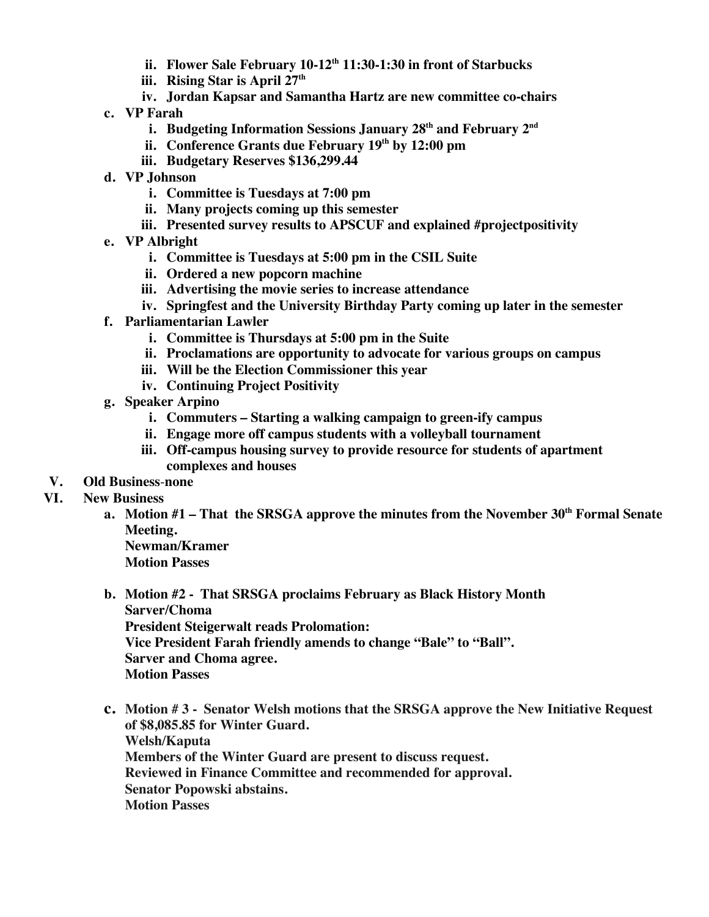- **ii. Flower Sale February 10-12th 11:30-1:30 in front of Starbucks**
- **iii. Rising Star is April 27th**
- **iv. Jordan Kapsar and Samantha Hartz are new committee co-chairs**
- **c. VP Farah**
	- **i. Budgeting Information Sessions January 28th and February 2nd**
	- **ii. Conference Grants due February 19th by 12:00 pm**
	- **iii. Budgetary Reserves \$136,299.44**
- **d. VP Johnson**
	- **i. Committee is Tuesdays at 7:00 pm**
	- **ii. Many projects coming up this semester**
	- **iii. Presented survey results to APSCUF and explained #projectpositivity**
- **e. VP Albright**
	- **i. Committee is Tuesdays at 5:00 pm in the CSIL Suite**
	- **ii. Ordered a new popcorn machine**
	- **iii. Advertising the movie series to increase attendance**
	- **iv. Springfest and the University Birthday Party coming up later in the semester**
- **f. Parliamentarian Lawler**
	- **i. Committee is Thursdays at 5:00 pm in the Suite**
	- **ii. Proclamations are opportunity to advocate for various groups on campus**
	- **iii. Will be the Election Commissioner this year**
	- **iv. Continuing Project Positivity**
- **g. Speaker Arpino**
	- **i. Commuters – Starting a walking campaign to green-ify campus**
	- **ii. Engage more off campus students with a volleyball tournament**
	- **iii. Off-campus housing survey to provide resource for students of apartment complexes and houses**
- **V. Old Business**-**none**

#### **VI. New Business**

**a. Motion #1 – That the SRSGA approve the minutes from the November 30th Formal Senate Meeting.**

**Newman/Kramer Motion Passes**

**b. Motion #2 - That SRSGA proclaims February as Black History Month Sarver/Choma President Steigerwalt reads Prolomation: Vice President Farah friendly amends to change "Bale" to "Ball".**

**Sarver and Choma agree.**

**Motion Passes**

**c. Motion # 3 - Senator Welsh motions that the SRSGA approve the New Initiative Request of \$8,085.85 for Winter Guard. Welsh/Kaputa Members of the Winter Guard are present to discuss request. Reviewed in Finance Committee and recommended for approval. Senator Popowski abstains. Motion Passes**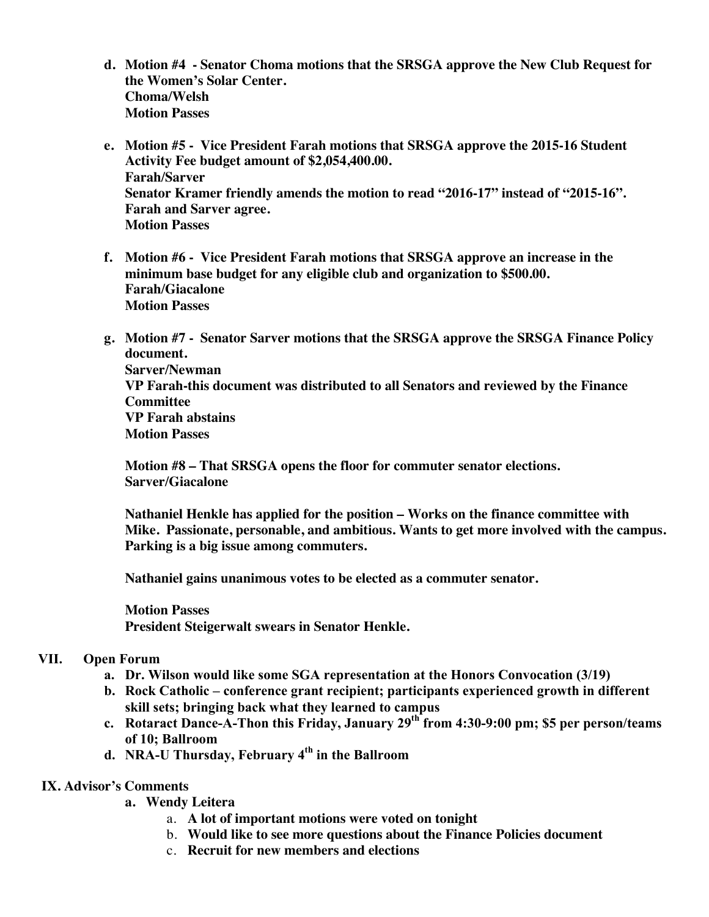- **d. Motion #4 - Senator Choma motions that the SRSGA approve the New Club Request for the Women's Solar Center. Choma/Welsh Motion Passes**
- **e. Motion #5 - Vice President Farah motions that SRSGA approve the 2015-16 Student Activity Fee budget amount of \$2,054,400.00. Farah/Sarver Senator Kramer friendly amends the motion to read "2016-17" instead of "2015-16". Farah and Sarver agree. Motion Passes**
- **f. Motion #6 - Vice President Farah motions that SRSGA approve an increase in the minimum base budget for any eligible club and organization to \$500.00. Farah/Giacalone Motion Passes**
- **g. Motion #7 - Senator Sarver motions that the SRSGA approve the SRSGA Finance Policy document.**

**Sarver/Newman VP Farah-this document was distributed to all Senators and reviewed by the Finance Committee VP Farah abstains Motion Passes**

**Motion #8 – That SRSGA opens the floor for commuter senator elections. Sarver/Giacalone**

**Nathaniel Henkle has applied for the position – Works on the finance committee with Mike. Passionate, personable, and ambitious. Wants to get more involved with the campus. Parking is a big issue among commuters.**

**Nathaniel gains unanimous votes to be elected as a commuter senator.** 

**Motion Passes President Steigerwalt swears in Senator Henkle.**

#### **VII. Open Forum**

- **a. Dr. Wilson would like some SGA representation at the Honors Convocation (3/19)**
- **b. Rock Catholic – conference grant recipient; participants experienced growth in different skill sets; bringing back what they learned to campus**
- **c. Rotaract Dance-A-Thon this Friday, January 29th from 4:30-9:00 pm; \$5 per person/teams of 10; Ballroom**
- **d. NRA-U Thursday, February 4th in the Ballroom**

#### **IX. Advisor's Comments**

- **a. Wendy Leitera**
	- a. **A lot of important motions were voted on tonight**
	- b. **Would like to see more questions about the Finance Policies document**
	- c. **Recruit for new members and elections**